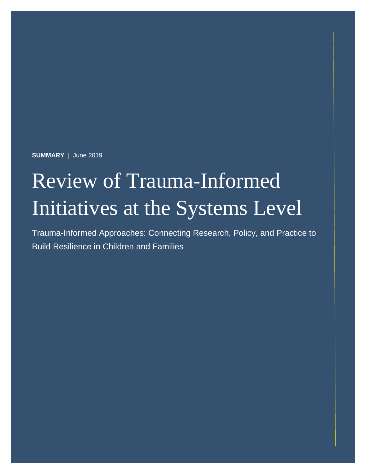**SUMMARY** | June 2019

# Review of Trauma-Informed Initiatives at the Systems Level

Trauma-Informed Approaches: Connecting Research, Policy, and Practice to Build Resilience in Children and Families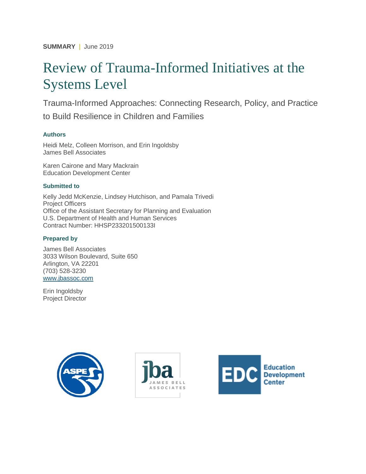**SUMMARY** | June 2019

## Review of Trauma-Informed Initiatives at the Systems Level

Trauma-Informed Approaches: Connecting Research, Policy, and Practice to Build Resilience in Children and Families

#### **Authors**

Heidi Melz, Colleen Morrison, and Erin Ingoldsby James Bell Associates

Karen Cairone and Mary Mackrain Education Development Center

#### **Submitted to**

Kelly Jedd McKenzie, Lindsey Hutchison, and Pamala Trivedi Project Officers Office of the Assistant Secretary for Planning and Evaluation U.S. Department of Health and Human Services Contract Number: HHSP233201500133I

#### **Prepared by**

James Bell Associates 3033 Wilson Boulevard, Suite 650 Arlington, VA 22201 (703) 528-3230 [www.jbassoc.com](http://www.jbassoc.com/)

Erin Ingoldsby Project Director





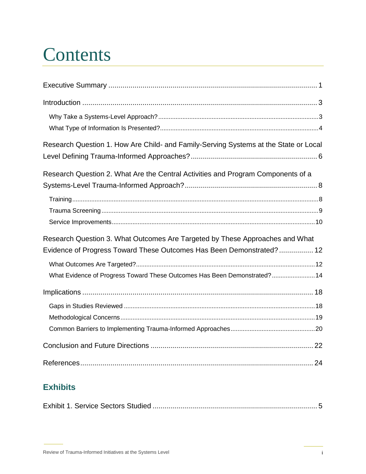# **Contents**

| Research Question 1. How Are Child- and Family-Serving Systems at the State or Local |  |
|--------------------------------------------------------------------------------------|--|
|                                                                                      |  |
| Research Question 2. What Are the Central Activities and Program Components of a     |  |
|                                                                                      |  |
|                                                                                      |  |
|                                                                                      |  |
|                                                                                      |  |
| Research Question 3. What Outcomes Are Targeted by These Approaches and What         |  |
| Evidence of Progress Toward These Outcomes Has Been Demonstrated? 12                 |  |
|                                                                                      |  |
| What Evidence of Progress Toward These Outcomes Has Been Demonstrated? 14            |  |
|                                                                                      |  |
|                                                                                      |  |
|                                                                                      |  |
|                                                                                      |  |
|                                                                                      |  |
|                                                                                      |  |

### **Exhibits**

|--|--|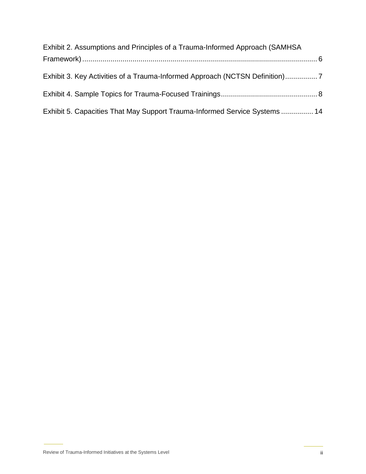| Exhibit 2. Assumptions and Principles of a Trauma-Informed Approach (SAMHSA |  |
|-----------------------------------------------------------------------------|--|
|                                                                             |  |
|                                                                             |  |
| Exhibit 3. Key Activities of a Trauma-Informed Approach (NCTSN Definition)7 |  |
|                                                                             |  |
|                                                                             |  |
|                                                                             |  |
| Exhibit 5. Capacities That May Support Trauma-Informed Service Systems  14  |  |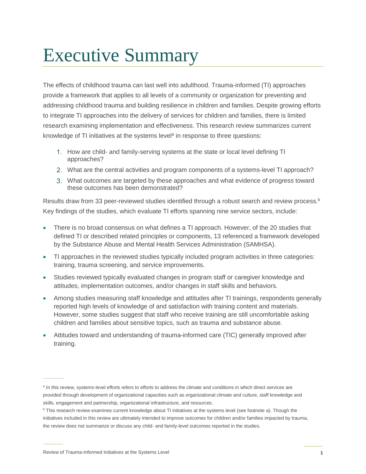## <span id="page-4-0"></span>Executive Summary

The effects of childhood trauma can last well into adulthood. Trauma-informed (TI) approaches provide a framework that applies to all levels of a community or organization for preventing and addressing childhood trauma and building resilience in children and families. Despite growing efforts to integrate TI approaches into the delivery of services for children and families, there is limited research examining implementation and effectiveness. This research review summarizes current knowledge of TI initiatives at the systems level<sup>a</sup> in response to three questions:

- 1. How are child- and family-serving systems at the state or local level defining TI approaches?
- What are the central activities and program components of a systems-level TI approach?
- What outcomes are targeted by these approaches and what evidence of progress toward these outcomes has been demonstrated?

Results draw from 33 peer-reviewed studies identified through a robust search and review process.<sup>b</sup> Key findings of the studies, which evaluate TI efforts spanning nine service sectors, include:

- There is no broad consensus on what defines a TI approach. However, of the 20 studies that defined TI or described related principles or components, 13 referenced a framework developed by the Substance Abuse and Mental Health Services Administration (SAMHSA).
- TI approaches in the reviewed studies typically included program activities in three categories: training, trauma screening, and service improvements.
- Studies reviewed typically evaluated changes in program staff or caregiver knowledge and attitudes, implementation outcomes, and/or changes in staff skills and behaviors.
- Among studies measuring staff knowledge and attitudes after TI trainings, respondents generally reported high levels of knowledge of and satisfaction with training content and materials. However, some studies suggest that staff who receive training are still uncomfortable asking children and families about sensitive topics, such as trauma and substance abuse.
- Attitudes toward and understanding of trauma-informed care (TIC) generally improved after training.

a In this review, systems-level efforts refers to efforts to address the climate and conditions in which direct services are provided through development of organizational capacities such as organizational climate and culture, staff knowledge and skills, engagement and partnership, organizational infrastructure, and resources.

**b** This research review examines current knowledge about TI initiatives at the systems level (see footnote a). Though the initiatives included in this review are ultimately intended to improve outcomes for children and/or families impacted by trauma, the review does not summarize or discuss any child- and family-level outcomes reported in the studies.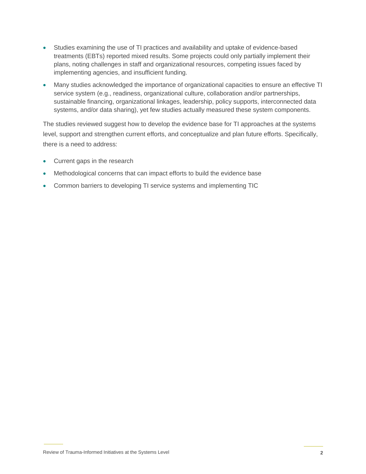- Studies examining the use of TI practices and availability and uptake of evidence-based treatments (EBTs) reported mixed results. Some projects could only partially implement their plans, noting challenges in staff and organizational resources, competing issues faced by implementing agencies, and insufficient funding.
- Many studies acknowledged the importance of organizational capacities to ensure an effective TI service system (e.g., readiness, organizational culture, collaboration and/or partnerships, sustainable financing, organizational linkages, leadership, policy supports, interconnected data systems, and/or data sharing), yet few studies actually measured these system components.

The studies reviewed suggest how to develop the evidence base for TI approaches at the systems level, support and strengthen current efforts, and conceptualize and plan future efforts. Specifically, there is a need to address:

- Current gaps in the research
- Methodological concerns that can impact efforts to build the evidence base
- Common barriers to developing TI service systems and implementing TIC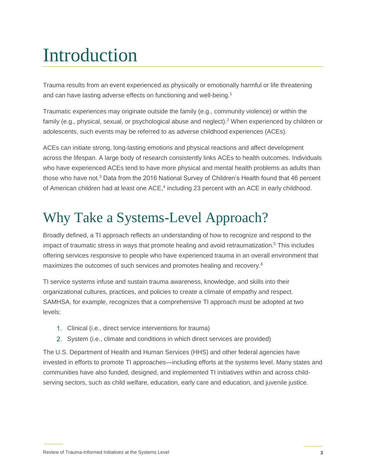# <span id="page-6-0"></span>Introduction

Trauma results from an event experienced as physically or emotionally harmful or life threatening and can have lasting adverse effects on functioning and well-being.<sup>1</sup>

Traumatic experiences may originate outside the family (e.g., community violence) or within the family (e.g., physical, sexual, or psychological abuse and neglect).<sup>2</sup> When experienced by children or adolescents, such events may be referred to as adverse childhood experiences (ACEs).

ACEs can initiate strong, long-lasting emotions and physical reactions and affect development across the lifespan. A large body of research consistently links ACEs to health outcomes. Individuals who have experienced ACEs tend to have more physical and mental health problems as adults than those who have not.<sup>3</sup> Data from the 2016 National Survey of Children's Health found that 46 percent of American children had at least one ACE,<sup>4</sup> including 23 percent with an ACE in early childhood.

## <span id="page-6-1"></span>Why Take a Systems-Level Approach?

Broadly defined, a TI approach reflects an understanding of how to recognize and respond to the impact of traumatic stress in ways that promote healing and avoid retraumatization.<sup>5</sup> This includes offering services responsive to people who have experienced trauma in an overall environment that maximizes the outcomes of such services and promotes healing and recovery.<sup>6</sup>

TI service systems infuse and sustain trauma awareness, knowledge, and skills into their organizational cultures, practices, and policies to create a climate of empathy and respect. SAMHSA, for example, recognizes that a comprehensive TI approach must be adopted at two levels:

- Clinical (i.e., direct service interventions for trauma)
- 2. System (i.e., climate and conditions in which direct services are provided)

The U.S. Department of Health and Human Services (HHS) and other federal agencies have invested in efforts to promote TI approaches—including efforts at the systems level. Many states and communities have also funded, designed, and implemented TI initiatives within and across childserving sectors, such as child welfare, education, early care and education, and juvenile justice.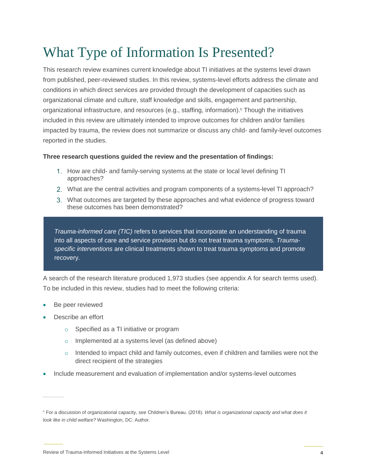## <span id="page-7-0"></span>What Type of Information Is Presented?

This research review examines current knowledge about TI initiatives at the systems level drawn from published, peer-reviewed studies. In this review, systems-level efforts address the climate and conditions in which direct services are provided through the development of capacities such as organizational climate and culture, staff knowledge and skills, engagement and partnership, organizational infrastructure, and resources (e.g., staffing, information).<sup>c</sup> Though the initiatives included in this review are ultimately intended to improve outcomes for children and/or families impacted by trauma, the review does not summarize or discuss any child- and family-level outcomes reported in the studies.

#### **Three research questions guided the review and the presentation of findings:**

- 1. How are child- and family-serving systems at the state or local level defining TI approaches?
- What are the central activities and program components of a systems-level TI approach?
- What outcomes are targeted by these approaches and what evidence of progress toward these outcomes has been demonstrated?

*Trauma-informed care (TIC)* refers to services that incorporate an understanding of trauma into all aspects of care and service provision but do not treat trauma symptoms. *Traumaspecific interventions* are clinical treatments shown to treat trauma symptoms and promote recovery.

A search of the research literature produced 1,973 studies (see appendix A for search terms used). To be included in this review, studies had to meet the following criteria:

- Be peer reviewed
- Describe an effort
	- o Specified as a TI initiative or program
	- o Implemented at a systems level (as defined above)
	- $\circ$  Intended to impact child and family outcomes, even if children and families were not the direct recipient of the strategies
- Include measurement and evaluation of implementation and/or systems-level outcomes

<sup>c</sup> For a discussion of organizational capacity, see Children's Bureau. (2018). *What is organizational capacity and what does it look like in child welfare?* Washington, DC: Author.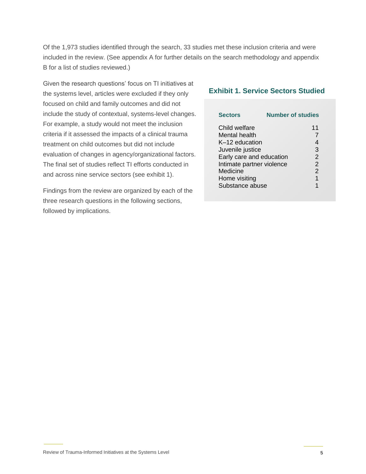Of the 1,973 studies identified through the search, 33 studies met these inclusion criteria and were included in the review. (See appendix A for further details on the search methodology and appendix B for a list of studies reviewed.)

Given the research questions' focus on TI initiatives at the systems level, articles were excluded if they only focused on child and family outcomes and did not include the study of contextual, systems-level changes. For example, a study would not meet the inclusion criteria if it assessed the impacts of a clinical trauma treatment on child outcomes but did not include evaluation of changes in agency/organizational factors. The final set of studies reflect TI efforts conducted in and across nine service sectors (see exhibit 1).

Findings from the review are organized by each of the three research questions in the following sections, followed by implications.

#### **Exhibit 1. Service Sectors Studied**

| <b>Sectors</b>            | <b>Number of studies</b> |                |
|---------------------------|--------------------------|----------------|
| Child welfare             |                          | 11             |
| Mental health             |                          | 7              |
| K-12 education            |                          | 4              |
| Juvenile justice          |                          | 3              |
| Early care and education  |                          | 2              |
| Intimate partner violence |                          | $\overline{2}$ |
| Medicine                  |                          | $\overline{2}$ |
| Home visiting             |                          | 1              |
| Substance abuse           |                          | 1              |
|                           |                          |                |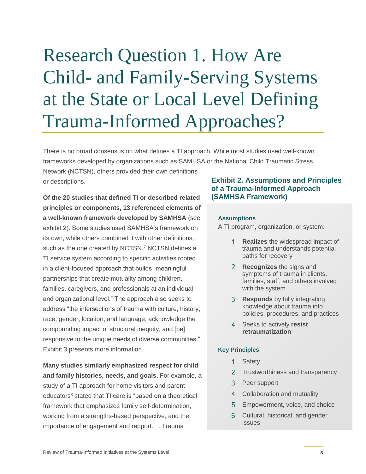# <span id="page-9-0"></span>Research Question 1. How Are Child- and Family-Serving Systems at the State or Local Level Defining Trauma-Informed Approaches?

There is no broad consensus on what defines a TI approach. While most studies used well-known frameworks developed by organizations such as SAMHSA or the National Child Traumatic Stress

Network (NCTSN), others provided their own definitions or descriptions.

**Of the 20 studies that defined TI or described related principles or components, 13 referenced elements of a well-known framework developed by SAMHSA** (see exhibit 2). Some studies used SAMHSA's framework on its own, while others combined it with other definitions, such as the one created by NCTSN.<sup>7</sup> NCTSN defines a TI service system according to specific activities rooted in a client-focused approach that builds "meaningful partnerships that create mutuality among children, families, caregivers, and professionals at an individual and organizational level." The approach also seeks to address "the intersections of trauma with culture, history, race, gender, location, and language, acknowledge the compounding impact of structural inequity, and [be] responsive to the unique needs of diverse communities." Exhibit 3 presents more information.

**Many studies similarly emphasized respect for child and family histories, needs, and goals.** For example, a study of a TI approach for home visitors and parent educators<sup>8</sup> stated that TI care is "based on a theoretical framework that emphasizes family self-determination, working from a strengths-based perspective, and the importance of engagement and rapport. . . Trauma

#### **Exhibit 2. Assumptions and Principles of a Trauma-Informed Approach (SAMHSA Framework)**

#### **Assumptions**

A TI program, organization, or system:

- **Realizes** the widespread impact of **the mattes in the mattem wides** in the matter of the trauma and understands potential paths for recovery
- **Recognizes** the signs and **Example 3. Assumptions of trauma in clients,** families, staff, and others involved<br>*with the everyon*  $\frac{1}{2}$  with the system
	- **Responds** by fully integrating knowledge about trauma into policies, procedures, and practices
- **Exhibit 2. Assumptions 2. Assumptions and Principles 3. Assumptions and Principles 3. Assumptions and Principles 3. Assumptions and Principal Assumption 2. Assumptions and Principles and Principles 3. Assumptions and Prin** *retraumatization*

#### **Key Principles**

- 1. Safety
- **Exhibit 2. Trustworthiness and transparency**
- **bigger Support CR** Trauma-Informed Approximate a Transformed Approximate a Transformed Approximate a Transformed Approximate a Transformed Approximate a Transformed Approximate a Transformed Approximate a Transformed Ap
- <sup>1</sup><br>4. Collaboration and mutuality
	- Empowerment, voice, and choice
- 6. Cultural, historical, and gender issues **Exhibit 2. Assumption** and Principles **and Principles**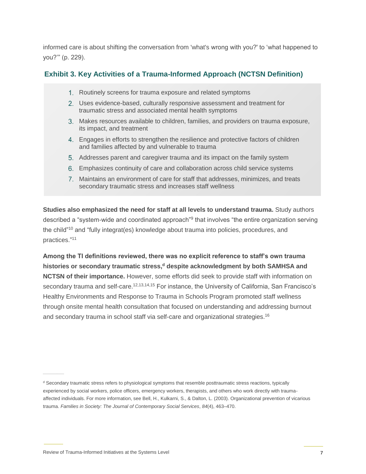informed care is about shifting the conversation from 'what's wrong with you?' to 'what happened to you?'" (p. 229).

### **Exhibit 3. Key Activities of a Trauma-Informed Approach (NCTSN Definition)**

- 1. Routinely screens for trauma exposure and related symptoms
- 2. Uses evidence-based, culturally responsive assessment and treatment for traumatic stress and associated mental health symptoms
	- Makes resources available to children, families, and providers on trauma exposure, its impact, and treatment
- 4. Engages in efforts to strengthen the resilience and protective factors of children and families affected by and vulnerable to trauma
	- Addresses parent and caregiver trauma and its impact on the family system
- **EXECTS** 6. Emphasizes continuity of care and collaboration across child service systems
	- Maintains an environment of care for staff that addresses, minimizes, and treats secondary traumatic stress and increases staff wellness

**Studies also emphasized the need for staff at all levels to understand trauma.** Study authors described a "system-wide and coordinated approach"<sup>9</sup> that involves "the entire organization serving the child"<sup>10</sup> and "fully integrat(es) knowledge about trauma into policies, procedures, and practices." 11

Among the TI definitions reviewed, there was no explicit reference to staff's own trauma histories or secondary traumatic stress,<sup>d</sup> despite acknowledgment by both SAMHSA and **NCTSN of their importance.** However, some efforts did seek to provide staff with information on secondary trauma and self-care.<sup>12,13,14,15</sup> For instance, the University of California, San Francisco's Healthy Environments and Response to Trauma in Schools Program promoted staff wellness through onsite mental health consultation that focused on understanding and addressing burnout and secondary trauma in school staff via self-care and organizational strategies.<sup>16</sup>  $\sigma$ traumatic stress, aespite acknowledgmental mental health symptoms in  $\sigma$ on importances riemeter, come energy available to provide etail mai information en  $a$ uma and self-care.  $\mathbb{R}^{12,13,14}$ 

<sup>&</sup>lt;sup>d</sup> Secondary traumatic stress refers to physiological symptoms that resemble posttraumatic stress reactions, typically experienced by social workers, police officers, emergency workers, therapists, and others who work directly with traumaaffected individuals. For more information, see Bell, H., Kulkarni, S., & Dalton, L. (2003). Organizational prevention of vicarious trauma. *Families in Society: The Journal of Contemporary Social Services, 84*(4), 463–470.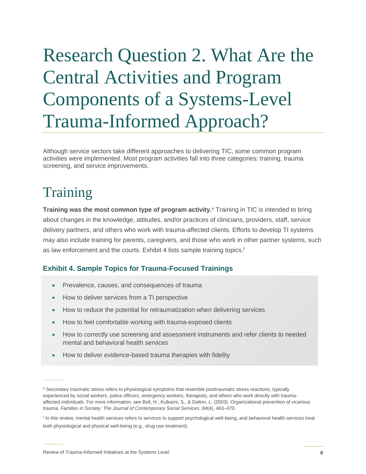# <span id="page-11-0"></span>Research Question 2. What Are the Central Activities and Program Components of a Systems-Level Trauma-Informed Approach?

Although service sectors take different approaches to delivering TIC, some common program activities were implemented. Most program activities fall into three categories: training, trauma screening, and service improvements.

## <span id="page-11-1"></span>**Training**

**Training was the most common type of program activity.**<sup>e</sup> Training in TIC is intended to bring about changes in the knowledge, attitudes, and/or practices of clinicians, providers, staff, service delivery partners, and others who work with trauma-affected clients. Efforts to develop TI systems may also include training for parents, caregivers, and those who work in other partner systems, such as law enforcement and the courts. Exhibit 4 lists sample training topics.<sup>f</sup>

### **Exhibit 4. Sample Topics for Trauma-Focused Trainings**

- Prevalence, causes, and consequences of trauma
- **Exhibit 4. Sample Trauma-Focused Transform a TI perspective** 
	- How to reduce the potential for retraumatization when delivering services
	- How to feel comfortable working with trauma-exposed clients
- **EXED** How to correctly use screening and assessment instruments and refer clients to needed **Service SystemsExhibit 4. Sample Topics for Trauma-**mental and behavioral health services **Focused Trainings**
	- How to deliver evidence-based trauma therapies with fidelity

**Exhibit 4. Sample Topics for Trauma-Focused Trainings**

**Exhibit 4. Sample Topics for Trauma-Focused Trainings**

How to correctly use screening and assessment instruments and  $\alpha$ 

e Secondary traumatic stress refers to physiological symptoms that resemble posttraumatic stress reactions, typically experienced by social workers, police officers, emergency workers, therapists, and others who work directly with traumaaffected individuals. For more information, see Bell, H., Kulkarni, S., & Dalton, L. (2003). Organizational prevention of vicarious **Exhibit A. Sample Topics for Transformation**, *Exhibit 4. Sample Trauma, E., 2. Sample Trauma. Families in Society: The Journal of Contemporary Social Services, 84(4), 463–470.* 

<sup>&</sup>lt;sup>f</sup> In this review, mental health services refers to services to support psychological well-being, and behavioral health services treat both physiological and physical well-being (e.g., drug use treatment).  $\mathcal{F}(\mathcal{F})$  for feel components with transmission  $\mathcal{F}(\mathcal{F})$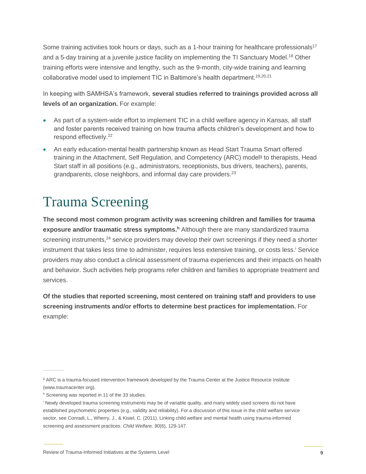Some training activities took hours or days, such as a 1-hour training for healthcare professionals<sup>17</sup> and a 5-day training at a juvenile justice facility on implementing the TI Sanctuary Model.<sup>18</sup> Other training efforts were intensive and lengthy, such as the 9-month, city-wide training and learning collaborative model used to implement TIC in Baltimore's health department.19,20,21

In keeping with SAMHSA's framework, **several studies referred to trainings provided across all levels of an organization.** For example:

- As part of a system-wide effort to implement TIC in a child welfare agency in Kansas, all staff and foster parents received training on how trauma affects children's development and how to respond effectively.<sup>22</sup>
- An early education-mental health partnership known as Head Start Trauma Smart offered training in the Attachment, Self Regulation, and Competency (ARC) model<sup>g</sup> to therapists, Head Start staff in all positions (e.g., administrators, receptionists, bus drivers, teachers), parents, grandparents, close neighbors, and informal day care providers.<sup>23</sup>

## <span id="page-12-0"></span>Trauma Screening

**The second most common program activity was screening children and families for trauma exposure and/or traumatic stress symptoms.<sup>h</sup>** Although there are many standardized trauma screening instruments,<sup>24</sup> service providers may develop their own screenings if they need a shorter instrument that takes less time to administer, requires less extensive training, or costs less. Service providers may also conduct a clinical assessment of trauma experiences and their impacts on health and behavior. Such activities help programs refer children and families to appropriate treatment and services.

**Of the studies that reported screening, most centered on training staff and providers to use screening instruments and/or efforts to determine best practices for implementation.** For example:

<sup>&</sup>lt;sup>g</sup> ARC is a trauma-focused intervention framework developed by the Trauma Center at the Justice Resource Institute (www.traumacenter.org).

h Screening was reported in 11 of the 33 studies.

<sup>i</sup> Newly developed trauma screening instruments may be of variable quality, and many widely used screens do not have established psychometric properties (e.g., validity and reliability). For a discussion of this issue in the child welfare service sector, see Conradi, L., Wherry, J., & Kisiel, C. (2011). Linking child welfare and mental health using trauma-informed screening and assessment practices. *Child Welfare, 90*(6), 129-147*.*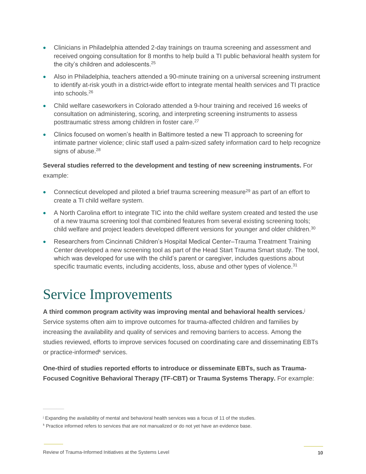- Clinicians in Philadelphia attended 2-day trainings on trauma screening and assessment and received ongoing consultation for 8 months to help build a TI public behavioral health system for the city's children and adolescents.<sup>25</sup>
- Also in Philadelphia, teachers attended a 90-minute training on a universal screening instrument to identify at-risk youth in a district-wide effort to integrate mental health services and TI practice into schools.<sup>26</sup>
- Child welfare caseworkers in Colorado attended a 9-hour training and received 16 weeks of consultation on administering, scoring, and interpreting screening instruments to assess posttraumatic stress among children in foster care.<sup>27</sup>
- Clinics focused on women's health in Baltimore tested a new TI approach to screening for intimate partner violence; clinic staff used a palm-sized safety information card to help recognize signs of abuse.<sup>28</sup>

**Several studies referred to the development and testing of new screening instruments.** For example:

- Connecticut developed and piloted a brief trauma screening measure<sup>29</sup> as part of an effort to create a TI child welfare system.
- A North Carolina effort to integrate TIC into the child welfare system created and tested the use of a new trauma screening tool that combined features from several existing screening tools; child welfare and project leaders developed different versions for younger and older children.<sup>30</sup>
- Researchers from Cincinnati Children's Hospital Medical Center–Trauma Treatment Training Center developed a new screening tool as part of the Head Start Trauma Smart study. The tool, which was developed for use with the child's parent or caregiver, includes questions about specific traumatic events, including accidents, loss, abuse and other types of violence. $31$

## <span id="page-13-0"></span>Service Improvements

**A third common program activity was improving mental and behavioral health services.**<sup>j</sup> Service systems often aim to improve outcomes for trauma-affected children and families by increasing the availability and quality of services and removing barriers to access. Among the studies reviewed, efforts to improve services focused on coordinating care and disseminating EBTs or practice-informed<sup>k</sup> services.

**One-third of studies reported efforts to introduce or disseminate EBTs, such as Trauma-Focused Cognitive Behavioral Therapy (TF-CBT) or Trauma Systems Therapy.** For example:

<sup>&</sup>lt;sup>j</sup> Expanding the availability of mental and behavioral health services was a focus of 11 of the studies.

k Practice informed refers to services that are not manualized or do not yet have an evidence base.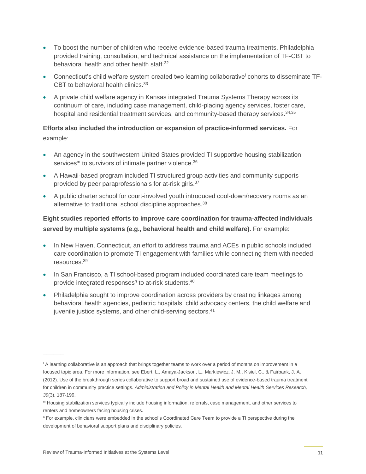- To boost the number of children who receive evidence-based trauma treatments, Philadelphia provided training, consultation, and technical assistance on the implementation of TF-CBT to behavioral health and other health staff.<sup>32</sup>
- Connecticut's child welfare system created two learning collaborative<sup>l</sup> cohorts to disseminate TF-CBT to behavioral health clinics.<sup>33</sup>
- A private child welfare agency in Kansas integrated Trauma Systems Therapy across its continuum of care, including case management, child-placing agency services, foster care, hospital and residential treatment services, and community-based therapy services.<sup>34,35</sup>

### **Efforts also included the introduction or expansion of practice-informed services.** For example:

- An agency in the southwestern United States provided TI supportive housing stabilization services<sup>m</sup> to survivors of intimate partner violence.<sup>36</sup>
- A Hawaii-based program included TI structured group activities and community supports provided by peer paraprofessionals for at-risk girls.<sup>37</sup>
- A public charter school for court-involved youth introduced cool-down/recovery rooms as an alternative to traditional school discipline approaches.<sup>38</sup>

### **Eight studies reported efforts to improve care coordination for trauma-affected individuals served by multiple systems (e.g., behavioral health and child welfare).** For example:

- In New Haven, Connecticut, an effort to address trauma and ACEs in public schools included care coordination to promote TI engagement with families while connecting them with needed resources.<sup>39</sup>
- In San Francisco, a TI school-based program included coordinated care team meetings to provide integrated responses<sup>n</sup> to at-risk students.<sup>40</sup>
- Philadelphia sought to improve coordination across providers by creating linkages among behavioral health agencies, pediatric hospitals, child advocacy centers, the child welfare and juvenile justice systems, and other child-serving sectors.<sup>41</sup>

<sup>&</sup>lt;sup>1</sup> A learning collaborative is an approach that brings together teams to work over a period of months on improvement in a focused topic area. For more information, see Ebert, L., Amaya-Jackson, L., Markiewicz, J. M., Kisiel, C., & Fairbank, J. A. (2012). Use of the breakthrough series collaborative to support broad and sustained use of evidence-based trauma treatment for children in community practice settings. *Administration and Policy in Mental Health and Mental Health Services Research, 39*(3), 187-199.

<sup>m</sup> Housing stabilization services typically include housing information, referrals, case management, and other services to renters and homeowners facing housing crises.

<sup>n</sup> For example, clinicians were embedded in the school's Coordinated Care Team to provide a TI perspective during the development of behavioral support plans and disciplinary policies.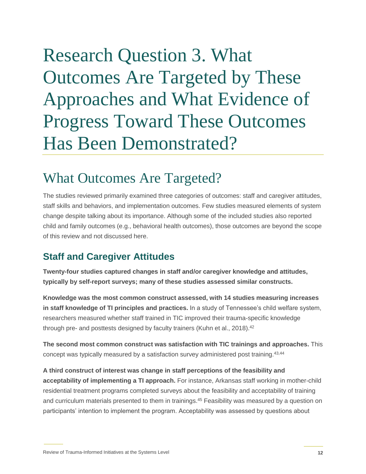# <span id="page-15-0"></span>Research Question 3. What Outcomes Are Targeted by These Approaches and What Evidence of Progress Toward These Outcomes Has Been Demonstrated?

## <span id="page-15-1"></span>What Outcomes Are Targeted?

The studies reviewed primarily examined three categories of outcomes: staff and caregiver attitudes, staff skills and behaviors, and implementation outcomes. Few studies measured elements of system change despite talking about its importance. Although some of the included studies also reported child and family outcomes (e.g., behavioral health outcomes), those outcomes are beyond the scope of this review and not discussed here.

### **Staff and Caregiver Attitudes**

**Twenty-four studies captured changes in staff and/or caregiver knowledge and attitudes, typically by self-report surveys; many of these studies assessed similar constructs.** 

**Knowledge was the most common construct assessed, with 14 studies measuring increases in staff knowledge of TI principles and practices.** In a study of Tennessee's child welfare system, researchers measured whether staff trained in TIC improved their trauma-specific knowledge through pre- and posttests designed by faculty trainers (Kuhn et al., 2018).<sup>42</sup>

**The second most common construct was satisfaction with TIC trainings and approaches.** This concept was typically measured by a satisfaction survey administered post training.43,44

**A third construct of interest was change in staff perceptions of the feasibility and acceptability of implementing a TI approach.** For instance, Arkansas staff working in mother-child residential treatment programs completed surveys about the feasibility and acceptability of training and curriculum materials presented to them in trainings.<sup>45</sup> Feasibility was measured by a question on participants' intention to implement the program. Acceptability was assessed by questions about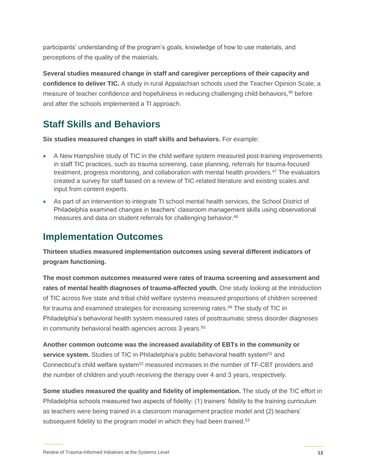participants' understanding of the program's goals, knowledge of how to use materials, and perceptions of the quality of the materials.

**Several studies measured change in staff and caregiver perceptions of their capacity and confidence to deliver TIC.** A study in rural Appalachian schools used the Teacher Opinion Scale, a measure of teacher confidence and hopefulness in reducing challenging child behaviors,<sup>46</sup> before and after the schools implemented a TI approach.

### **Staff Skills and Behaviors**

**Six studies measured changes in staff skills and behaviors.** For example:

- A New Hampshire study of TIC in the child welfare system measured post-training improvements in staff TIC practices, such as trauma screening, case planning, referrals for trauma-focused treatment, progress monitoring, and collaboration with mental health providers.<sup>47</sup> The evaluators created a survey for staff based on a review of TIC-related literature and existing scales and input from content experts.
- As part of an intervention to integrate TI school mental health services, the School District of Philadelphia examined changes in teachers' classroom management skills using observational measures and data on student referrals for challenging behavior.<sup>48</sup>

### **Implementation Outcomes**

**Thirteen studies measured implementation outcomes using several different indicators of program functioning.** 

**The most common outcomes measured were rates of trauma screening and assessment and rates of mental health diagnoses of trauma-affected youth.** One study looking at the introduction of TIC across five state and tribal child welfare systems measured proportions of children screened for trauma and examined strategies for increasing screening rates.<sup>49</sup> The study of TIC in Philadelphia's behavioral health system measured rates of posttraumatic stress disorder diagnoses in community behavioral health agencies across 3 years.<sup>50</sup>

**Another common outcome was the increased availability of EBTs in the community or service system.** Studies of TIC in Philadelphia's public behavioral health system<sup>51</sup> and Connecticut's child welfare system<sup>52</sup> measured increases in the number of TF-CBT providers and the number of children and youth receiving the therapy over 4 and 3 years, respectively.

**Some studies measured the quality and fidelity of implementation.** The study of the TIC effort in Philadelphia schools measured two aspects of fidelity: (1) trainers' fidelity to the training curriculum as teachers were being trained in a classroom management practice model and (2) teachers' subsequent fidelity to the program model in which they had been trained.<sup>53</sup>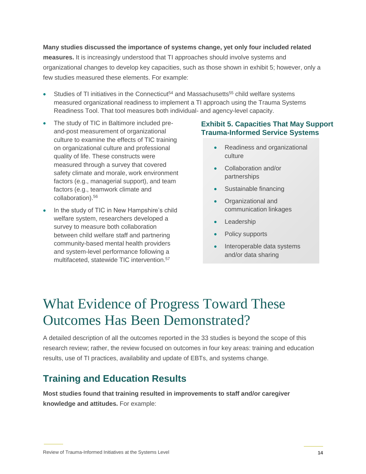#### **Many studies discussed the importance of systems change, yet only four included related**

**measures.** It is increasingly understood that TI approaches should involve systems and organizational changes to develop key capacities, such as those shown in exhibit 5; however, only a few studies measured these elements. For example:

- Studies of TI initiatives in the Connecticut<sup>54</sup> and Massachusetts<sup>55</sup> child welfare systems measured organizational readiness to implement a TI approach using the Trauma Systems Readiness Tool. That tool measures both individual- and agency-level capacity.
- The study of TIC in Baltimore included preand-post measurement of organizational culture to examine the effects of TIC training on organizational culture and professional quality of life. These constructs were measured through a survey that covered safety climate and morale, work environment factors (e.g., managerial support), and team factors (e.g., teamwork climate and collaboration).<sup>56</sup>
- In the study of TIC in New Hampshire's child welfare system, researchers developed a survey to measure both collaboration between child welfare staff and partnering community-based mental health providers and system-level performance following a multifaceted, statewide TIC intervention.<sup>57</sup>

#### **Exhibit 5. Capacities That May Support Trauma-Informed Service Systems**

- Readiness and organizational culture
- Collaboration and/or partnerships
- Sustainable financing
- Organizational and communication linkages
- Leadership
- Policy supports
- Interoperable data systems and/or data sharing

### <span id="page-17-0"></span>What Evidence of Progress Toward These Outcomes Has Been Demonstrated?

A detailed description of all the outcomes reported in the 33 studies is beyond the scope of this research review; rather, the review focused on outcomes in four key areas: training and education results, use of TI practices, availability and update of EBTs, and systems change.

### **Training and Education Results**

**Most studies found that training resulted in improvements to staff and/or caregiver knowledge and attitudes.** For example: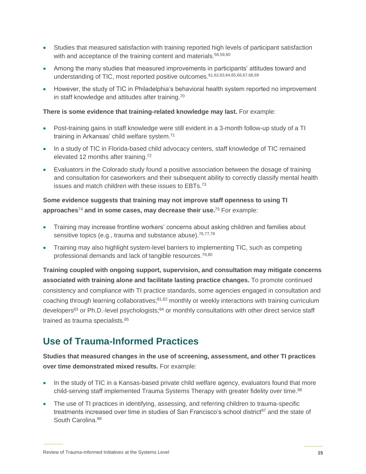- Studies that measured satisfaction with training reported high levels of participant satisfaction with and acceptance of the training content and materials.<sup>58,59,60</sup>
- Among the many studies that measured improvements in participants' attitudes toward and understanding of TIC, most reported positive outcomes.61,62,63,64,65,66,67,68,69
- However, the study of TIC in Philadelphia's behavioral health system reported no improvement in staff knowledge and attitudes after training.<sup>70</sup>

#### **There is some evidence that training-related knowledge may last.** For example:

- Post-training gains in staff knowledge were still evident in a 3-month follow-up study of a TI training in Arkansas' child welfare system.<sup>71</sup>
- In a study of TIC in Florida-based child advocacy centers, staff knowledge of TIC remained elevated 12 months after training.<sup>72</sup>
- Evaluators in the Colorado study found a positive association between the dosage of training and consultation for caseworkers and their subsequent ability to correctly classify mental health issues and match children with these issues to EBTs.<sup>73</sup>

### **Some evidence suggests that training may not improve staff openness to using TI approaches**<sup>74</sup> **and in some cases, may decrease their use.**<sup>75</sup> For example:

- Training may increase frontline workers' concerns about asking children and families about sensitive topics (e.g., trauma and substance abuse).<sup>76,77,78</sup>
- Training may also highlight system-level barriers to implementing TIC, such as competing professional demands and lack of tangible resources. 79,80

**Training coupled with ongoing support, supervision, and consultation may mitigate concerns associated with training alone and facilitate lasting practice changes.** To promote continued consistency and compliance with TI practice standards, some agencies engaged in consultation and coaching through learning collaboratives;81,82 monthly or weekly interactions with training curriculum developers<sup>83</sup> or Ph.D.-level psychologists;<sup>84</sup> or monthly consultations with other direct service staff trained as trauma specialists.<sup>85</sup>

### **Use of Trauma-Informed Practices**

**Studies that measured changes in the use of screening, assessment, and other TI practices over time demonstrated mixed results.** For example:

- In the study of TIC in a Kansas-based private child welfare agency, evaluators found that more child-serving staff implemented Trauma Systems Therapy with greater fidelity over time.<sup>86</sup>
- The use of TI practices in identifying, assessing, and referring children to trauma-specific treatments increased over time in studies of San Francisco's school district<sup>87</sup> and the state of South Carolina.<sup>88</sup>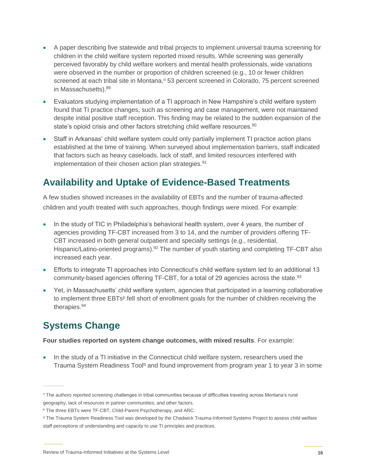- A paper describing five statewide and tribal projects to implement universal trauma screening for children in the child welfare system reported mixed results. While screening was generally perceived favorably by child welfare workers and mental health professionals, wide variations were observed in the number or proportion of children screened (e.g., 10 or fewer children screened at each tribal site in Montana,<sup>o</sup> 53 percent screened in Colorado, 75 percent screened in Massachusetts).<sup>89</sup>
- Evaluators studying implementation of a TI approach in New Hampshire's child welfare system found that TI practice changes, such as screening and case management, were not maintained despite initial positive staff reception. This finding may be related to the sudden expansion of the state's opioid crisis and other factors stretching child welfare resources.<sup>90</sup>
- Staff in Arkansas' child welfare system could only partially implement TI practice action plans established at the time of training. When surveyed about implementation barriers, staff indicated that factors such as heavy caseloads, lack of staff, and limited resources interfered with implementation of their chosen action plan strategies.<sup>91</sup>

### **Availability and Uptake of Evidence-Based Treatments**

A few studies showed increases in the availability of EBTs and the number of trauma-affected children and youth treated with such approaches, though findings were mixed. For example:

- In the study of TIC in Philadelphia's behavioral health system, over 4 years, the number of agencies providing TF-CBT increased from 3 to 14, and the number of providers offering TF-CBT increased in both general outpatient and specialty settings (e.g., residential, Hispanic/Latino-oriented programs).<sup>92</sup> The number of youth starting and completing TF-CBT also increased each year.
- Efforts to integrate TI approaches into Connecticut's child welfare system led to an additional 13 community-based agencies offering TF-CBT, for a total of 29 agencies across the state.<sup>93</sup>
- Yet, in Massachusetts' child welfare system, agencies that participated in a learning collaborative to implement three EBTs<sup>p</sup> fell short of enrollment goals for the number of children receiving the therapies.<sup>94</sup>

### **Systems Change**

**Four studies reported on system change outcomes, with mixed results**. For example:

 In the study of a TI initiative in the Connecticut child welfare system, researchers used the Trauma System Readiness Tool<sup>q</sup> and found improvement from program year 1 to year 3 in some

<sup>o</sup> The authors reported screening challenges in tribal communities because of difficulties traveling across Montana's rural geography, lack of resources in partner communities, and other factors.

<sup>p</sup> The three EBTs were TF-CBT, Child-Parent Psychotherapy, and ARC.

q The Trauma System Readiness Tool was developed by the Chadwick Trauma-Informed Systems Project to assess child welfare staff perceptions of understanding and capacity to use TI principles and practices.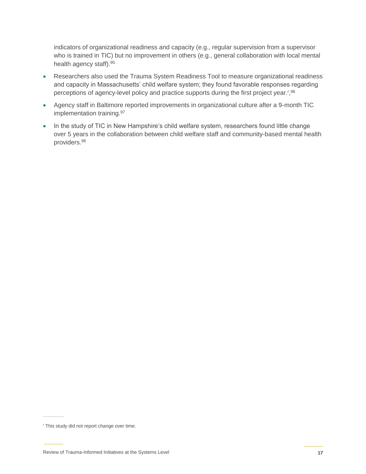indicators of organizational readiness and capacity (e.g., regular supervision from a supervisor who is trained in TIC) but no improvement in others (e.g., general collaboration with local mental health agency staff).<sup>95</sup>

- Researchers also used the Trauma System Readiness Tool to measure organizational readiness and capacity in Massachusetts' child welfare system; they found favorable responses regarding perceptions of agency-level policy and practice supports during the first project year.<sup>r os</sup>
- Agency staff in Baltimore reported improvements in organizational culture after a 9-month TIC implementation training.<sup>97</sup>
- In the study of TIC in New Hampshire's child welfare system, researchers found little change over 5 years in the collaboration between child welfare staff and community-based mental health providers.<sup>98</sup>

<sup>r</sup> This study did not report change over time.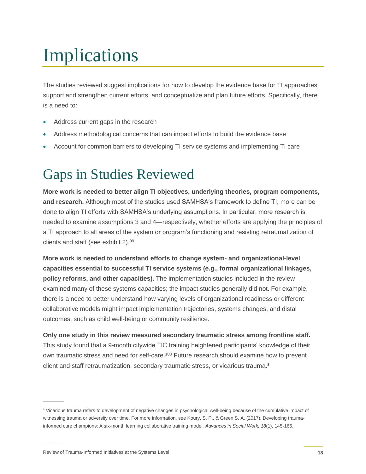# <span id="page-21-0"></span>Implications

The studies reviewed suggest implications for how to develop the evidence base for TI approaches, support and strengthen current efforts, and conceptualize and plan future efforts. Specifically, there is a need to:

- Address current gaps in the research
- Address methodological concerns that can impact efforts to build the evidence base
- <span id="page-21-1"></span>Account for common barriers to developing TI service systems and implementing TI care

## Gaps in Studies Reviewed

**More work is needed to better align TI objectives, underlying theories, program components, and research.** Although most of the studies used SAMHSA's framework to define TI, more can be done to align TI efforts with SAMHSA's underlying assumptions. In particular, more research is needed to examine assumptions 3 and 4—respectively, whether efforts are applying the principles of a TI approach to all areas of the system or program's functioning and resisting retraumatization of clients and staff (see exhibit 2). 99

**More work is needed to understand efforts to change system- and organizational-level capacities essential to successful TI service systems (e.g., formal organizational linkages, policy reforms, and other capacities).** The implementation studies included in the review examined many of these systems capacities; the impact studies generally did not. For example, there is a need to better understand how varying levels of organizational readiness or different collaborative models might impact implementation trajectories, systems changes, and distal outcomes, such as child well-being or community resilience.

**Only one study in this review measured secondary traumatic stress among frontline staff.** This study found that a 9-month citywide TIC training heightened participants' knowledge of their own traumatic stress and need for self-care.<sup>100</sup> Future research should examine how to prevent client and staff retraumatization, secondary traumatic stress, or vicarious trauma.<sup>s</sup>

<sup>s</sup> Vicarious trauma refers to development of negative changes in psychological well-being because of the cumulative impact of witnessing trauma or adversity over time. For more information, see Koury, S. P., & Green S. A. (2017). Developing traumainformed care champions: A six-month learning collaborative training model. *Advances in Social Work, 18*(1), 145-166.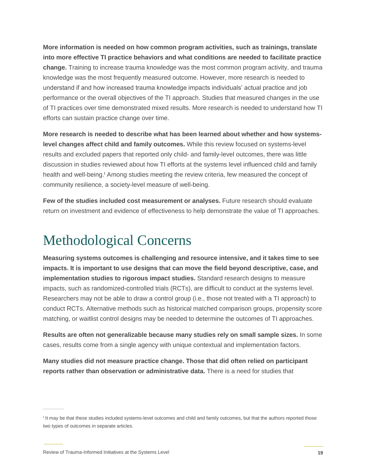**More information is needed on how common program activities, such as trainings, translate into more effective TI practice behaviors and what conditions are needed to facilitate practice change.** Training to increase trauma knowledge was the most common program activity, and trauma knowledge was the most frequently measured outcome. However, more research is needed to understand if and how increased trauma knowledge impacts individuals' actual practice and job performance or the overall objectives of the TI approach. Studies that measured changes in the use of TI practices over time demonstrated mixed results. More research is needed to understand how TI efforts can sustain practice change over time.

**More research is needed to describe what has been learned about whether and how systemslevel changes affect child and family outcomes.** While this review focused on systems-level results and excluded papers that reported only child- and family-level outcomes, there was little discussion in studies reviewed about how TI efforts at the systems level influenced child and family health and well-being.<sup>t</sup> Among studies meeting the review criteria, few measured the concept of community resilience, a society-level measure of well-being.

**Few of the studies included cost measurement or analyses.** Future research should evaluate return on investment and evidence of effectiveness to help demonstrate the value of TI approaches.

## <span id="page-22-0"></span>Methodological Concerns

**Measuring systems outcomes is challenging and resource intensive, and it takes time to see impacts. It is important to use designs that can move the field beyond descriptive, case, and implementation studies to rigorous impact studies.** Standard research designs to measure impacts, such as randomized-controlled trials (RCTs), are difficult to conduct at the systems level. Researchers may not be able to draw a control group (i.e., those not treated with a TI approach) to conduct RCTs. Alternative methods such as historical matched comparison groups, propensity score matching, or waitlist control designs may be needed to determine the outcomes of TI approaches.

**Results are often not generalizable because many studies rely on small sample sizes.** In some cases, results come from a single agency with unique contextual and implementation factors.

**Many studies did not measure practice change. Those that did often relied on participant reports rather than observation or administrative data.** There is a need for studies that

<sup>&</sup>lt;sup>t</sup> It may be that these studies included systems-level outcomes and child and family outcomes, but that the authors reported those two types of outcomes in separate articles.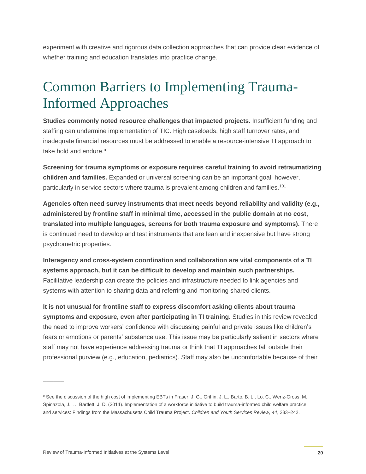experiment with creative and rigorous data collection approaches that can provide clear evidence of whether training and education translates into practice change.

## <span id="page-23-0"></span>Common Barriers to Implementing Trauma-Informed Approaches

**Studies commonly noted resource challenges that impacted projects.** Insufficient funding and staffing can undermine implementation of TIC. High caseloads, high staff turnover rates, and inadequate financial resources must be addressed to enable a resource-intensive TI approach to take hold and endure.<sup>u</sup>

**Screening for trauma symptoms or exposure requires careful training to avoid retraumatizing children and families.** Expanded or universal screening can be an important goal, however, particularly in service sectors where trauma is prevalent among children and families.<sup>101</sup>

**Agencies often need survey instruments that meet needs beyond reliability and validity (e.g., administered by frontline staff in minimal time, accessed in the public domain at no cost, translated into multiple languages, screens for both trauma exposure and symptoms).** There is continued need to develop and test instruments that are lean and inexpensive but have strong psychometric properties.

**Interagency and cross-system coordination and collaboration are vital components of a TI systems approach, but it can be difficult to develop and maintain such partnerships.** Facilitative leadership can create the policies and infrastructure needed to link agencies and systems with attention to sharing data and referring and monitoring shared clients.

**It is not unusual for frontline staff to express discomfort asking clients about trauma symptoms and exposure, even after participating in TI training.** Studies in this review revealed the need to improve workers' confidence with discussing painful and private issues like children's fears or emotions or parents' substance use. This issue may be particularly salient in sectors where staff may not have experience addressing trauma or think that TI approaches fall outside their professional purview (e.g., education, pediatrics). Staff may also be uncomfortable because of their

<sup>u</sup> See the discussion of the high cost of implementing EBTs in Fraser, J. G., Griffin, J. L., Barto, B. L., Lo, C., Wenz-Gross, M., Spinazola, J., … Bartlett, J. D. (2014). Implementation of a workforce initiative to build trauma-informed child welfare practice and services: Findings from the Massachusetts Child Trauma Project. *Children and Youth Services Review, 44*, 233–242.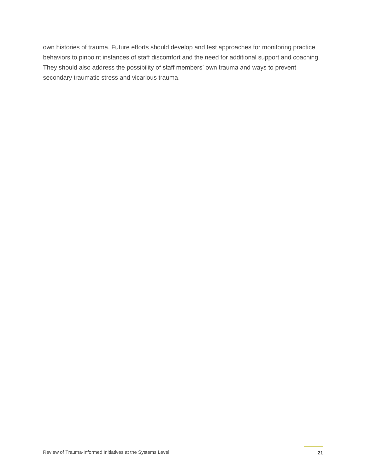own histories of trauma. Future efforts should develop and test approaches for monitoring practice behaviors to pinpoint instances of staff discomfort and the need for additional support and coaching. They should also address the possibility of staff members' own trauma and ways to prevent secondary traumatic stress and vicarious trauma.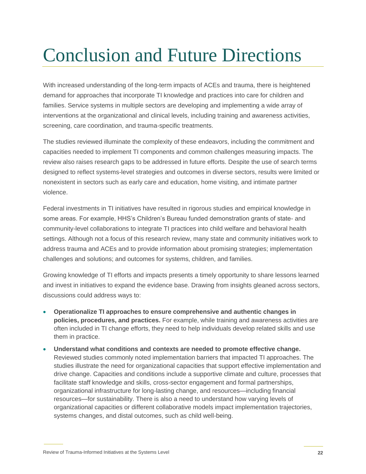# <span id="page-25-0"></span>Conclusion and Future Directions

With increased understanding of the long-term impacts of ACEs and trauma, there is heightened demand for approaches that incorporate TI knowledge and practices into care for children and families. Service systems in multiple sectors are developing and implementing a wide array of interventions at the organizational and clinical levels, including training and awareness activities, screening, care coordination, and trauma-specific treatments.

The studies reviewed illuminate the complexity of these endeavors, including the commitment and capacities needed to implement TI components and common challenges measuring impacts. The review also raises research gaps to be addressed in future efforts. Despite the use of search terms designed to reflect systems-level strategies and outcomes in diverse sectors, results were limited or nonexistent in sectors such as early care and education, home visiting, and intimate partner violence.

Federal investments in TI initiatives have resulted in rigorous studies and empirical knowledge in some areas. For example, HHS's Children's Bureau funded demonstration grants of state- and community-level collaborations to integrate TI practices into child welfare and behavioral health settings. Although not a focus of this research review, many state and community initiatives work to address trauma and ACEs and to provide information about promising strategies; implementation challenges and solutions; and outcomes for systems, children, and families.

Growing knowledge of TI efforts and impacts presents a timely opportunity to share lessons learned and invest in initiatives to expand the evidence base. Drawing from insights gleaned across sectors, discussions could address ways to:

- **Operationalize TI approaches to ensure comprehensive and authentic changes in policies, procedures, and practices.** For example, while training and awareness activities are often included in TI change efforts, they need to help individuals develop related skills and use them in practice.
- **Understand what conditions and contexts are needed to promote effective change.**  Reviewed studies commonly noted implementation barriers that impacted TI approaches. The studies illustrate the need for organizational capacities that support effective implementation and drive change. Capacities and conditions include a supportive climate and culture, processes that facilitate staff knowledge and skills, cross-sector engagement and formal partnerships, organizational infrastructure for long-lasting change, and resources—including financial resources—for sustainability. There is also a need to understand how varying levels of organizational capacities or different collaborative models impact implementation trajectories, systems changes, and distal outcomes, such as child well-being.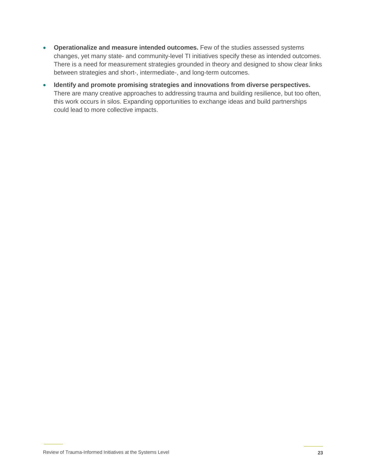- **Operationalize and measure intended outcomes.** Few of the studies assessed systems changes, yet many state- and community-level TI initiatives specify these as intended outcomes. There is a need for measurement strategies grounded in theory and designed to show clear links between strategies and short-, intermediate-, and long-term outcomes.
- **Identify and promote promising strategies and innovations from diverse perspectives.** There are many creative approaches to addressing trauma and building resilience, but too often, this work occurs in silos. Expanding opportunities to exchange ideas and build partnerships could lead to more collective impacts.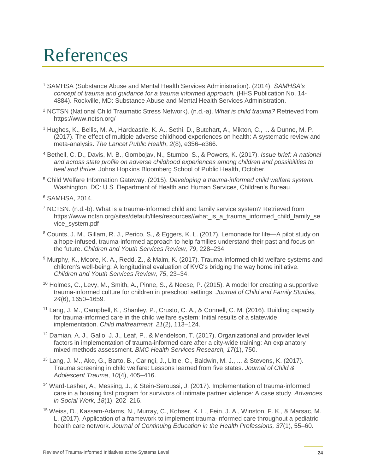## <span id="page-27-0"></span>References

- <sup>1</sup> SAMHSA (Substance Abuse and Mental Health Services Administration). (2014). *SAMHSA's concept of trauma and guidance for a trauma informed approach.* (HHS Publication No. 14- 4884). Rockville, MD: Substance Abuse and Mental Health Services Administration.
- <sup>2</sup> NCTSN (National Child Traumatic Stress Network). (n.d.-a). *What is child trauma?* Retrieved from <https://www.nctsn.org/>
- <sup>3</sup> Hughes, K., Bellis, M. A., Hardcastle, K. A., Sethi, D., Butchart, A., Mikton, C., ... & Dunne, M. P. (2017). The effect of multiple adverse childhood experiences on health: A systematic review and meta-analysis. *The Lancet Public Health*, *2*(8), e356–e366.
- <sup>4</sup> Bethell, C. D., Davis, M. B., Gombojav, N., Stumbo, S., & Powers, K. (2017). *Issue brief: A national and across state profile on adverse childhood experiences among children and possibilities to heal and thrive*. Johns Hopkins Bloomberg School of Public Health, October.
- <sup>5</sup> Child Welfare Information Gateway. (2015). *Developing a trauma-informed child welfare system.* Washington, DC: U.S. Department of Health and Human Services, Children's Bureau.

- <sup>7</sup> NCTSN. (n.d.-b). What is a trauma-informed child and family service system? Retrieved from https://www.nctsn.org/sites/default/files/resources//what\_is\_a\_trauma\_informed\_child\_family\_se vice\_system.pdf
- <sup>8</sup> Counts, J. M., Gillam, R. J., Perico, S., & Eggers, K. L. (2017). Lemonade for life—A pilot study on a hope-infused, trauma-informed approach to help families understand their past and focus on the future. *Children and Youth Services Review, 79*, 228–234.
- <sup>9</sup> Murphy, K., Moore, K. A., Redd, Z., & Malm, K. (2017). Trauma-informed child welfare systems and children's well-being: A longitudinal evaluation of KVC's bridging the way home initiative. *Children and Youth Services Review, 75*, 23–34.
- <sup>10</sup> Holmes, C., Levy, M., Smith, A., Pinne, S., & Neese, P. (2015). A model for creating a supportive trauma-informed culture for children in preschool settings. *Journal of Child and Family Studies, 24*(6), 1650–1659.
- <sup>11</sup> Lang, J. M., Campbell, K., Shanley, P., Crusto, C. A., & Connell, C. M. (2016). Building capacity for trauma-informed care in the child welfare system: Initial results of a statewide implementation. *Child maltreatment, 21*(2), 113–124.
- <sup>12</sup> Damian, A. J., Gallo, J. J., Leaf, P., & Mendelson, T. (2017). Organizational and provider level factors in implementation of trauma-informed care after a city-wide training: An explanatory mixed methods assessment. *BMC Health Services Research, 17*(1), 750.
- <sup>13</sup> Lang, J. M., Ake, G., Barto, B., Caringi, J., Little, C., Baldwin, M. J., ... & Stevens, K. (2017). Trauma screening in child welfare: Lessons learned from five states. *Journal of Child & Adolescent Trauma*, *10*(4), 405–416.
- <sup>14</sup> Ward-Lasher, A., Messing, J., & Stein-Seroussi, J. (2017). Implementation of trauma-informed care in a housing first program for survivors of intimate partner violence: A case study. *Advances in Social Work, 18*(1), 202–216.
- <sup>15</sup> Weiss, D., Kassam-Adams, N., Murray, C., Kohser, K. L., Fein, J. A., Winston, F. K., & Marsac, M. L. (2017). Application of a framework to implement trauma-informed care throughout a pediatric health care network. *Journal of Continuing Education in the Health Professions, 37*(1), 55–60.

<sup>6</sup> SAMHSA, 2014.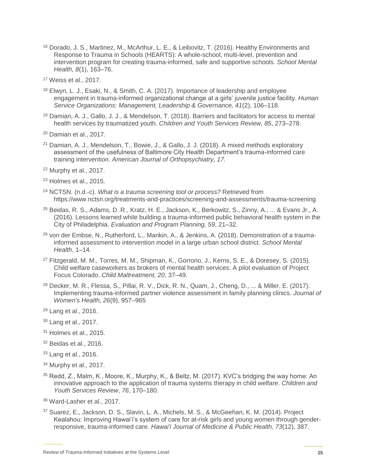- <sup>16</sup> Dorado, J. S., Martinez, M., McArthur, L. E., & Leibovitz, T. (2016). Healthy Environments and Response to Trauma in Schools (HEARTS): A whole-school, multi-level, prevention and intervention program for creating trauma-informed, safe and supportive schools. *School Mental Health, 8*(1), 163–76.
- <sup>17</sup> Weiss et al., 2017.
- <sup>18</sup> Elwyn, L. J., Esaki, N., & Smith, C. A. (2017). Importance of leadership and employee engagement in trauma-informed organizational change at a girls' juvenile justice facility. *Human Service Organizations: Management, Leadership & Governance, 41*(2), 106–118.
- <sup>19</sup> Damian, A. J., Gallo, J. J., & Mendelson, T. (2018). Barriers and facilitators for access to mental health services by traumatized youth. *Children and Youth Services Review, 85*, 273–278.
- <sup>20</sup> Damian et al., 2017.
- <sup>21</sup> Damian, A. J., Mendelson, T., Bowie, J., & Gallo, J. J. (2018). A mixed methods exploratory assessment of the usefulness of Baltimore City Health Department's trauma-informed care training intervention. *American Journal of Orthopsychiatry, 17.*
- <sup>22</sup> Murphy et al., 2017.
- <sup>23</sup> Holmes et al., 2015.
- <sup>24</sup> NCTSN. (n.d.-c). *What is a trauma screening tool or process?* Retrieved from <https://www.nctsn.org/treatments-and-practices/screening-and-assessments/trauma-screening>
- <sup>25</sup> Beidas, R. S., Adams, D. R., Kratz, H. E., Jackson, K., Berkowitz, S., Zinny, A., ... & Evans Jr., A. (2016). Lessons learned while building a trauma-informed public behavioral health system in the City of Philadelphia. *Evaluation and Program Planning, 59*, 21–32.
- <sup>26</sup> von der Embse, N., Rutherford, L., Mankin, A., & Jenkins, A. (2018). Demonstration of a traumainformed assessment to intervention model in a large urban school district. *School Mental Health*, 1–14.
- <sup>27</sup> Fitzgerald, M. M., Torres, M. M., Shipman, K., Gorrono, J., Kerns, S. E., & Doresey, S. (2015). Child welfare caseworkers as brokers of mental health services: A pilot evaluation of Project Focus Colorado. *Child Maltreatment, 20*, 37–49.
- <sup>28</sup> Decker, M. R., Flessa, S., Pillai, R. V., Dick, R. N., Quam, J., Cheng, D., ... & Miller, E. (2017). Implementing trauma-informed partner violence assessment in family planning clinics. *Journal of Women's Health, 26*(9), 957–965
- <sup>29</sup> Lang et al., 2016.
- <sup>30</sup> Lang et al., 2017.
- <sup>31</sup> Holmes et al., 2015.
- <sup>32</sup> Beidas et al., 2016.
- <sup>33</sup> Lang et al., 2016.
- <sup>34</sup> Murphy et al., 2017.
- <sup>35</sup> Redd, Z., Malm, K., Moore, K., Murphy, K., & Beltz, M. (2017). KVC's bridging the way home: An innovative approach to the application of trauma systems therapy in child welfare. *Children and Youth Services Review*, *76*, 170–180.
- <sup>36</sup> Ward-Lasher et al., 2017.
- <sup>37</sup> Suarez, E., Jackson, D. S., Slavin, L. A., Michels, M. S., & McGeehan, K. M. (2014). Project Kealahou: Improving Hawai'i's system of care for at-risk girls and young women through genderresponsive, trauma-informed care. *Hawai'i Journal of Medicine & Public Health, 73*(12), 387.

Review of Trauma-Informed Initiatives at the Systems Level **25**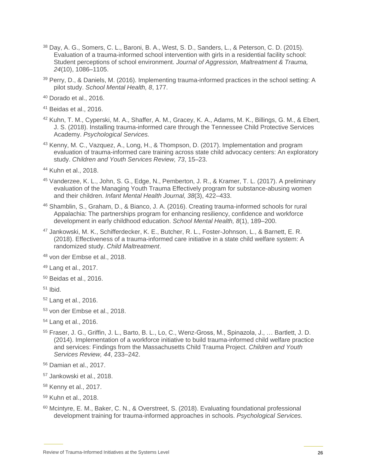- <sup>38</sup> Day, A. G., Somers, C. L., Baroni, B. A., West, S. D., Sanders, L., & Peterson, C. D. (2015). Evaluation of a trauma-informed school intervention with girls in a residential facility school: Student perceptions of school environment. *Journal of Aggression, Maltreatment & Trauma, 24*(10), 1086–1105.
- <sup>39</sup> Perry, D., & Daniels, M. (2016). Implementing trauma-informed practices in the school setting: A pilot study. *School Mental Health, 8*, 177.
- <sup>40</sup> Dorado et al., 2016.
- <sup>41</sup> Beidas et al., 2016.
- <sup>42</sup> Kuhn, T. M., Cyperski, M. A., Shaffer, A. M., Gracey, K. A., Adams, M. K., Billings, G. M., & Ebert, J. S. (2018). Installing trauma-informed care through the Tennessee Child Protective Services Academy. *Psychological Services.*
- <sup>43</sup> Kenny, M. C., Vazquez, A., Long, H., & Thompson, D. (2017). Implementation and program evaluation of trauma-informed care training across state child advocacy centers: An exploratory study. *Children and Youth Services Review, 73*, 15–23.
- <sup>44</sup> Kuhn et al., 2018.
- <sup>45</sup> Vanderzee, K. L., John, S. G., Edge, N., Pemberton, J. R., & Kramer, T. L. (2017). A preliminary evaluation of the Managing Youth Trauma Effectively program for substance-abusing women and their children. *Infant Mental Health Journal, 38*(3), 422–433.
- <sup>46</sup> Shamblin, S., Graham, D., & Bianco, J. A. (2016). Creating trauma-informed schools for rural Appalachia: The partnerships program for enhancing resiliency, confidence and workforce development in early childhood education. *School Mental Health, 8*(1), 189–200.
- <sup>47</sup> Jankowski, M. K., Schifferdecker, K. E., Butcher, R. L., Foster-Johnson, L., & Barnett, E. R. (2018). Effectiveness of a trauma-informed care initiative in a state child welfare system: A randomized study. *Child Maltreatment*.

- <sup>49</sup> Lang et al., 2017.
- <sup>50</sup> Beidas et al., 2016.
- $51$  Ibid.
- <sup>52</sup> Lang et al., 2016.
- <sup>53</sup> von der Embse et al., 2018.
- <sup>54</sup> Lang et al., 2016.
- <sup>55</sup> Fraser, J. G., Griffin, J. L., Barto, B. L., Lo, C., Wenz-Gross, M., Spinazola, J., … Bartlett, J. D. (2014). Implementation of a workforce initiative to build trauma-informed child welfare practice and services: Findings from the Massachusetts Child Trauma Project. *Children and Youth Services Review, 44*, 233–242.
- <sup>56</sup> Damian et al., 2017.
- <sup>57</sup> Jankowski et al., 2018.
- <sup>58</sup> Kenny et al., 2017.
- <sup>59</sup> Kuhn et al., 2018.
- <sup>60</sup> Mcintyre, E. M., Baker, C. N., & Overstreet, S. (2018). Evaluating foundational professional development training for trauma-informed approaches in schools. *Psychological Services.*

<sup>48</sup> von der Embse et al., 2018.

Review of Trauma-Informed Initiatives at the Systems Level **26**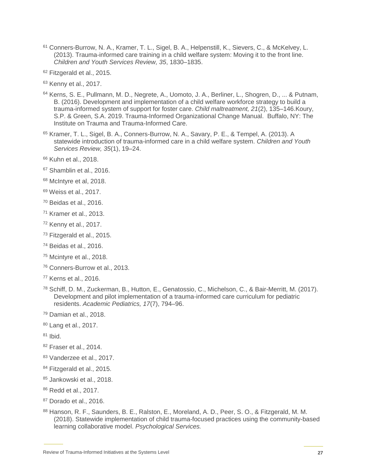- <sup>61</sup> Conners-Burrow, N. A., Kramer, T. L., Sigel, B. A., Helpenstill, K., Sievers, C., & McKelvey, L. (2013). Trauma-informed care training in a child welfare system: Moving it to the front line. *Children and Youth Services Review, 35*, 1830–1835.
- <sup>62</sup> Fitzgerald et al., 2015.
- <sup>63</sup> Kenny et al., 2017.
- <sup>64</sup> Kerns, S. E., Pullmann, M. D., Negrete, A., Uomoto, J. A., Berliner, L., Shogren, D., ... & Putnam, B. (2016). Development and implementation of a child welfare workforce strategy to build a trauma-informed system of support for foster care. *Child maltreatment, 21*(2), 135–146.Koury, S.P. & Green, S.A. 2019. Trauma-Informed Organizational Change Manual. Buffalo, NY: The Institute on Trauma and Trauma-Informed Care.
- <sup>65</sup> Kramer, T. L., Sigel, B. A., Conners-Burrow, N. A., Savary, P. E., & Tempel, A. (2013). A statewide introduction of trauma-informed care in a child welfare system. *Children and Youth Services Review, 35*(1), 19–24.
- <sup>66</sup> Kuhn et al., 2018.
- <sup>67</sup> Shamblin et al., 2016.
- <sup>68</sup> McIntyre et al, 2018.
- <sup>69</sup> Weiss et al., 2017.
- $70$  Beidas et al., 2016.
- <sup>71</sup> Kramer et al., 2013.
- <sup>72</sup> Kenny et al., 2017.
- <sup>73</sup> Fitzgerald et al., 2015.
- <sup>74</sup> Beidas et al., 2016.
- <sup>75</sup> Mcintyre et al., 2018.
- <sup>76</sup> Conners-Burrow et al., 2013.
- <sup>77</sup> Kerns et al., 2016.
- <sup>78</sup> Schiff, D. M., Zuckerman, B., Hutton, E., Genatossio, C., Michelson, C., & Bair-Merritt, M. (2017). Development and pilot implementation of a trauma-informed care curriculum for pediatric residents. *Academic Pediatrics, 17*(7), 794–96.
- <sup>79</sup> Damian et al., 2018.
- <sup>80</sup> Lang et al., 2017.
- $81$  Ibid.
- <sup>82</sup> Fraser et al., 2014.
- 83 Vanderzee et al., 2017.
- 84 Fitzgerald et al., 2015.
- 85 Jankowski et al., 2018.
- <sup>86</sup> Redd et al., 2017.
- <sup>87</sup> Dorado et al., 2016.
- 88 Hanson, R. F., Saunders, B. E., Ralston, E., Moreland, A. D., Peer, S. O., & Fitzgerald, M. M. (2018). Statewide implementation of child trauma-focused practices using the community-based learning collaborative model. *Psychological Services.*

Review of Trauma-Informed Initiatives at the Systems Level **27**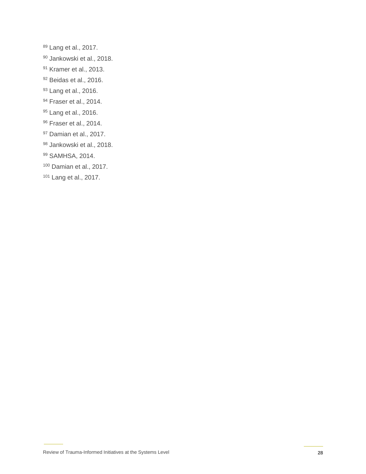- Lang et al., 2017.
- Jankowski et al., 2018.
- Kramer et al., 2013.
- Beidas et al., 2016.
- Lang et al., 2016.
- Fraser et al., 2014.
- 95 Lang et al., 2016.
- Fraser et al., 2014.
- Damian et al., 2017.
- Jankowski et al., 2018.
- 99 SAMHSA, 2014.
- Damian et al., 2017.
- Lang et al., 2017.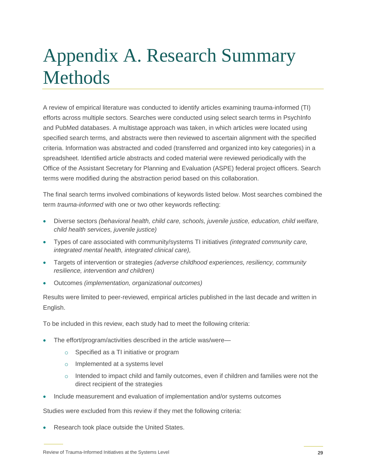# Appendix A. Research Summary Methods

A review of empirical literature was conducted to identify articles examining trauma-informed (TI) efforts across multiple sectors. Searches were conducted using select search terms in PsychInfo and PubMed databases. A multistage approach was taken, in which articles were located using specified search terms, and abstracts were then reviewed to ascertain alignment with the specified criteria. Information was abstracted and coded (transferred and organized into key categories) in a spreadsheet. Identified article abstracts and coded material were reviewed periodically with the Office of the Assistant Secretary for Planning and Evaluation (ASPE) federal project officers. Search terms were modified during the abstraction period based on this collaboration.

The final search terms involved combinations of keywords listed below. Most searches combined the term *trauma-informed* with one or two other keywords reflecting:

- Diverse sectors *(behavioral health, child care, schools, juvenile justice, education, child welfare, child health services, juvenile justice)*
- Types of care associated with community/systems TI initiatives *(integrated community care, integrated mental health, integrated clinical care),*
- Targets of intervention or strategies *(adverse childhood experiences, resiliency, community resilience, intervention and children)*
- Outcomes *(implementation, organizational outcomes)*

Results were limited to peer-reviewed, empirical articles published in the last decade and written in English.

To be included in this review, each study had to meet the following criteria:

- The effort/program/activities described in the article was/were
	- o Specified as a TI initiative or program
	- o Implemented at a systems level
	- $\circ$  Intended to impact child and family outcomes, even if children and families were not the direct recipient of the strategies
- Include measurement and evaluation of implementation and/or systems outcomes

Studies were excluded from this review if they met the following criteria:

Research took place outside the United States.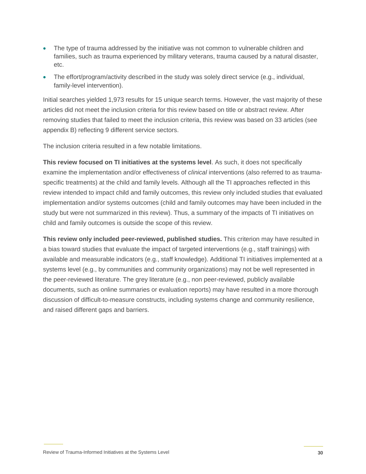- The type of trauma addressed by the initiative was not common to vulnerable children and families, such as trauma experienced by military veterans, trauma caused by a natural disaster, etc.
- The effort/program/activity described in the study was solely direct service (e.g., individual, family-level intervention).

Initial searches yielded 1,973 results for 15 unique search terms. However, the vast majority of these articles did not meet the inclusion criteria for this review based on title or abstract review. After removing studies that failed to meet the inclusion criteria, this review was based on 33 articles (see appendix B) reflecting 9 different service sectors.

The inclusion criteria resulted in a few notable limitations.

**This review focused on TI initiatives at the systems level**. As such, it does not specifically examine the implementation and/or effectiveness of *clinical* interventions (also referred to as traumaspecific treatments) at the child and family levels. Although all the TI approaches reflected in this review intended to impact child and family outcomes, this review only included studies that evaluated implementation and/or systems outcomes (child and family outcomes may have been included in the study but were not summarized in this review). Thus, a summary of the impacts of TI initiatives on child and family outcomes is outside the scope of this review.

**This review only included peer-reviewed, published studies.** This criterion may have resulted in a bias toward studies that evaluate the impact of targeted interventions (e.g., staff trainings) with available and measurable indicators (e.g., staff knowledge). Additional TI initiatives implemented at a systems level (e.g., by communities and community organizations) may not be well represented in the peer-reviewed literature. The grey literature (e.g., non peer-reviewed, publicly available documents, such as online summaries or evaluation reports) may have resulted in a more thorough discussion of difficult-to-measure constructs, including systems change and community resilience, and raised different gaps and barriers.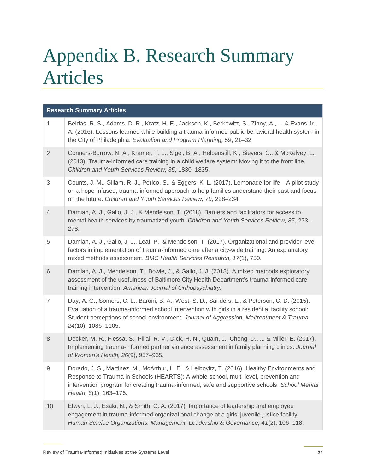# Appendix B. Research Summary Articles

| <b>Research Summary Articles</b> |                                                                                                                                                                                                                                                                                                                     |  |
|----------------------------------|---------------------------------------------------------------------------------------------------------------------------------------------------------------------------------------------------------------------------------------------------------------------------------------------------------------------|--|
| $\mathbf{1}$                     | Beidas, R. S., Adams, D. R., Kratz, H. E., Jackson, K., Berkowitz, S., Zinny, A.,  & Evans Jr.,<br>A. (2016). Lessons learned while building a trauma-informed public behavioral health system in<br>the City of Philadelphia. Evaluation and Program Planning, 59, 21-32.                                          |  |
| $\overline{2}$                   | Conners-Burrow, N. A., Kramer, T. L., Sigel, B. A., Helpenstill, K., Sievers, C., & McKelvey, L.<br>(2013). Trauma-informed care training in a child welfare system: Moving it to the front line.<br>Children and Youth Services Review, 35, 1830-1835.                                                             |  |
| 3                                | Counts, J. M., Gillam, R. J., Perico, S., & Eggers, K. L. (2017). Lemonade for life—A pilot study<br>on a hope-infused, trauma-informed approach to help families understand their past and focus<br>on the future. Children and Youth Services Review, 79, 228-234.                                                |  |
| $\overline{4}$                   | Damian, A. J., Gallo, J. J., & Mendelson, T. (2018). Barriers and facilitators for access to<br>mental health services by traumatized youth. Children and Youth Services Review, 85, 273-<br>278.                                                                                                                   |  |
| $\mathbf 5$                      | Damian, A. J., Gallo, J. J., Leaf, P., & Mendelson, T. (2017). Organizational and provider level<br>factors in implementation of trauma-informed care after a city-wide training: An explanatory<br>mixed methods assessment. BMC Health Services Research, 17(1), 750.                                             |  |
| 6                                | Damian, A. J., Mendelson, T., Bowie, J., & Gallo, J. J. (2018). A mixed methods exploratory<br>assessment of the usefulness of Baltimore City Health Department's trauma-informed care<br>training intervention. American Journal of Orthopsychiatry.                                                               |  |
| $\overline{7}$                   | Day, A. G., Somers, C. L., Baroni, B. A., West, S. D., Sanders, L., & Peterson, C. D. (2015).<br>Evaluation of a trauma-informed school intervention with girls in a residential facility school:<br>Student perceptions of school environment. Journal of Aggression, Maltreatment & Trauma,<br>24(10), 1086-1105. |  |
| $\,8\,$                          | Decker, M. R., Flessa, S., Pillai, R. V., Dick, R. N., Quam, J., Cheng, D.,  & Miller, E. (2017).<br>Implementing trauma-informed partner violence assessment in family planning clinics. Journal<br>of Women's Health, 26(9), 957-965.                                                                             |  |
| $\mathsf 9$                      | Dorado, J. S., Martinez, M., McArthur, L. E., & Leibovitz, T. (2016). Healthy Environments and<br>Response to Trauma in Schools (HEARTS): A whole-school, multi-level, prevention and<br>intervention program for creating trauma-informed, safe and supportive schools. School Mental<br>Health, 8(1), 163-176.    |  |
| $10$                             | Elwyn, L. J., Esaki, N., & Smith, C. A. (2017). Importance of leadership and employee<br>engagement in trauma-informed organizational change at a girls' juvenile justice facility.<br>Human Service Organizations: Management, Leadership & Governance, 41(2), 106-118.                                            |  |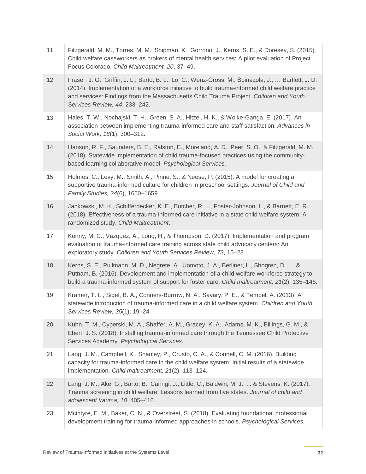| 11 | Fitzgerald, M. M., Torres, M. M., Shipman, K., Gorrono, J., Kerns, S. E., & Doresey, S. (2015).<br>Child welfare caseworkers as brokers of mental health services: A pilot evaluation of Project<br>Focus Colorado. Child Maltreatment, 20, 37-49.                                                                                  |
|----|-------------------------------------------------------------------------------------------------------------------------------------------------------------------------------------------------------------------------------------------------------------------------------------------------------------------------------------|
| 12 | Fraser, J. G., Griffin, J. L., Barto, B. L., Lo, C., Wenz-Gross, M., Spinazola, J.,  Bartlett, J. D.<br>(2014). Implementation of a workforce initiative to build trauma-informed child welfare practice<br>and services: Findings from the Massachusetts Child Trauma Project. Children and Youth<br>Services Review, 44, 233-242. |
| 13 | Hales, T. W., Nochajski, T. H., Green, S. A., Hitzel, H. K., & Woike-Ganga, E. (2017). An<br>association between implementing trauma-informed care and staff satisfaction. Advances in<br>Social Work, 18(1), 300-312.                                                                                                              |
| 14 | Hanson, R. F., Saunders, B. E., Ralston, E., Moreland, A. D., Peer, S. O., & Fitzgerald, M. M.<br>(2018). Statewide implementation of child trauma-focused practices using the community-<br>based learning collaborative model. Psychological Services.                                                                            |
| 15 | Holmes, C., Levy, M., Smith, A., Pinne, S., & Neese, P. (2015). A model for creating a<br>supportive trauma-informed culture for children in preschool settings. Journal of Child and<br>Family Studies, 24(6), 1650-1659.                                                                                                          |
| 16 | Jankowski, M. K., Schifferdecker, K. E., Butcher, R. L., Foster-Johnson, L., & Barnett, E. R.<br>(2018). Effectiveness of a trauma-informed care initiative in a state child welfare system: A<br>randomized study. Child Maltreatment.                                                                                             |
| 17 | Kenny, M. C., Vazquez, A., Long, H., & Thompson, D. (2017). Implementation and program<br>evaluation of trauma-informed care training across state child advocacy centers: An<br>exploratory study. Children and Youth Services Review, 73, 15-23.                                                                                  |
| 18 | Kerns, S. E., Pullmann, M. D., Negrete, A., Uomoto, J. A., Berliner, L., Shogren, D.,  &<br>Putnam, B. (2016). Development and implementation of a child welfare workforce strategy to<br>build a trauma-informed system of support for foster care. Child maltreatment, 21(2), 135-146.                                            |
| 19 | Kramer, T. L., Sigel, B. A., Conners-Burrow, N. A., Savary, P. E., & Tempel, A. (2013). A<br>statewide introduction of trauma-informed care in a child welfare system. Children and Youth<br>Services Review, 35(1), 19–24.                                                                                                         |
| 20 | Kuhn, T. M., Cyperski, M. A., Shaffer, A. M., Gracey, K. A., Adams, M. K., Billings, G. M., &<br>Ebert, J. S. (2018). Installing trauma-informed care through the Tennessee Child Protective<br>Services Academy. Psychological Services.                                                                                           |
| 21 | Lang, J. M., Campbell, K., Shanley, P., Crusto, C. A., & Connell, C. M. (2016). Building<br>capacity for trauma-informed care in the child welfare system: Initial results of a statewide<br>implementation. Child maltreatment, 21(2), 113-124.                                                                                    |
| 22 | Lang, J. M., Ake, G., Barto, B., Caringi, J., Little, C., Baldwin, M. J.,  & Stevens, K. (2017).<br>Trauma screening in child welfare: Lessons learned from five states. Journal of child and<br>adolescent trauma, 10, 405-416.                                                                                                    |
| 23 | Mcintyre, E. M., Baker, C. N., & Overstreet, S. (2018). Evaluating foundational professional<br>development training for trauma-informed approaches in schools. Psychological Services.                                                                                                                                             |